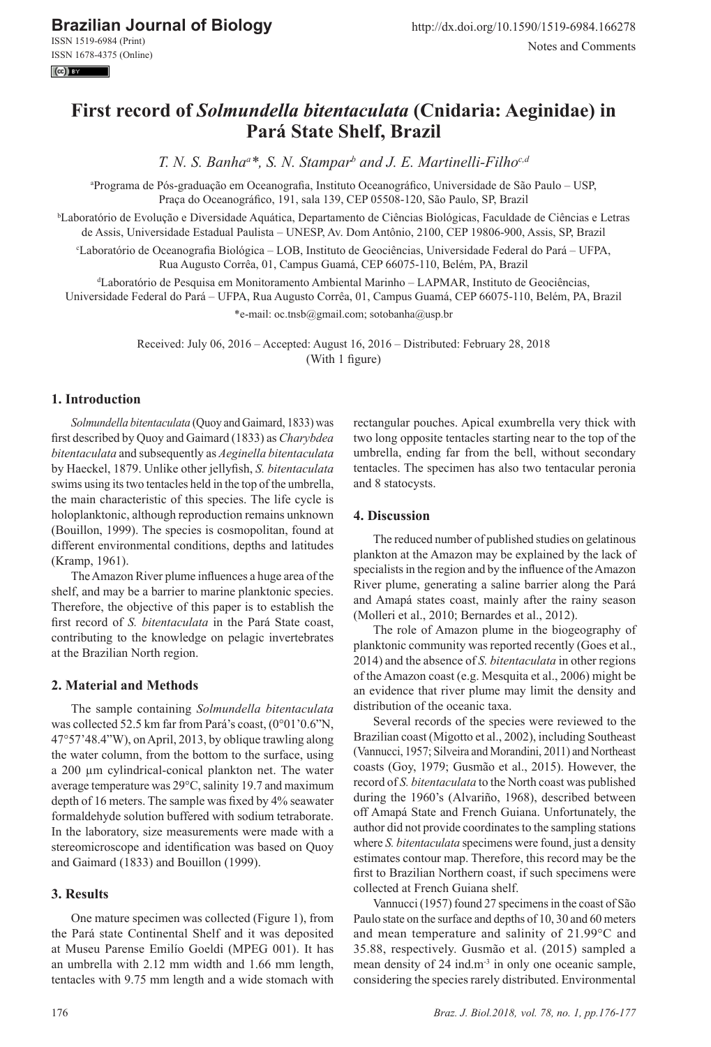**Brazilian Journal of Biology**

ISSN 1519-6984 (Print) ISSN 1678-4375 (Online)  $\left($ cc $\right)$  BY

# **First record of** *Solmundella bitentaculata* **(Cnidaria: Aeginidae) in Pará State Shelf, Brazil**

*T. N. S. Banha<sup>a</sup> \*, S. N. Stampar<sup>b</sup> and J. E. Martinelli-Filhoc,d*

a Programa de Pós-graduação em Oceanografia, Instituto Oceanográfico, Universidade de São Paulo – USP, Praça do Oceanográfico, 191, sala 139, CEP 05508-120, São Paulo, SP, Brazil

b Laboratório de Evolução e Diversidade Aquática, Departamento de Ciências Biológicas, Faculdade de Ciências e Letras de Assis, Universidade Estadual Paulista – UNESP, Av. Dom Antônio, 2100, CEP 19806-900, Assis, SP, Brazil

c Laboratório de Oceanografia Biológica – LOB, Instituto de Geociências, Universidade Federal do Pará – UFPA, Rua Augusto Corrêa, 01, Campus Guamá, CEP 66075-110, Belém, PA, Brazil

d Laboratório de Pesquisa em Monitoramento Ambiental Marinho – LAPMAR, Instituto de Geociências,

Universidade Federal do Pará – UFPA, Rua Augusto Corrêa, 01, Campus Guamá, CEP 66075-110, Belém, PA, Brazil

\*e-mail: oc.tnsb@gmail.com; sotobanha@usp.br

Received: July 06, 2016 – Accepted: August 16, 2016 – Distributed: February 28, 2018 (With 1 figure)

# **1. Introduction**

*Solmundella bitentaculata* (Quoy and Gaimard, 1833) was first described by Quoy and Gaimard (1833) as *Charybdea bitentaculata* and subsequently as *Aeginella bitentaculata* by Haeckel, 1879. Unlike other jellyfish, *S. bitentaculata* swims using its two tentacles held in the top of the umbrella, the main characteristic of this species. The life cycle is holoplanktonic, although reproduction remains unknown (Bouillon, 1999). The species is cosmopolitan, found at different environmental conditions, depths and latitudes (Kramp, 1961).

The Amazon River plume influences a huge area of the shelf, and may be a barrier to marine planktonic species. Therefore, the objective of this paper is to establish the first record of *S. bitentaculata* in the Pará State coast, contributing to the knowledge on pelagic invertebrates at the Brazilian North region.

## **2. Material and Methods**

The sample containing *Solmundella bitentaculata* was collected 52.5 km far from Pará's coast, (0°01'0.6"N, 47°57'48.4"W), on April, 2013, by oblique trawling along the water column, from the bottom to the surface, using a 200 µm cylindrical-conical plankton net. The water average temperature was 29°C, salinity 19.7 and maximum depth of 16 meters. The sample was fixed by 4% seawater formaldehyde solution buffered with sodium tetraborate. In the laboratory, size measurements were made with a stereomicroscope and identification was based on Quoy and Gaimard (1833) and Bouillon (1999).

## **3. Results**

One mature specimen was collected (Figure 1), from the Pará state Continental Shelf and it was deposited at Museu Parense Emilío Goeldi (MPEG 001). It has an umbrella with 2.12 mm width and 1.66 mm length, tentacles with 9.75 mm length and a wide stomach with rectangular pouches. Apical exumbrella very thick with two long opposite tentacles starting near to the top of the umbrella, ending far from the bell, without secondary tentacles. The specimen has also two tentacular peronia and 8 statocysts.

### **4. Discussion**

The reduced number of published studies on gelatinous plankton at the Amazon may be explained by the lack of specialists in the region and by the influence of the Amazon River plume, generating a saline barrier along the Pará and Amapá states coast, mainly after the rainy season (Molleri et al., 2010; Bernardes et al., 2012).

The role of Amazon plume in the biogeography of planktonic community was reported recently (Goes et al., 2014) and the absence of *S. bitentaculata* in other regions of the Amazon coast (e.g. Mesquita et al., 2006) might be an evidence that river plume may limit the density and distribution of the oceanic taxa.

Several records of the species were reviewed to the Brazilian coast (Migotto et al., 2002), including Southeast (Vannucci, 1957; Silveira and Morandini, 2011) and Northeast coasts (Goy, 1979; Gusmão et al., 2015). However, the record of *S. bitentaculata* to the North coast was published during the 1960's (Alvariño, 1968), described between off Amapá State and French Guiana. Unfortunately, the author did not provide coordinates to the sampling stations where *S. bitentaculata* specimens were found, just a density estimates contour map. Therefore, this record may be the first to Brazilian Northern coast, if such specimens were collected at French Guiana shelf.

Vannucci (1957) found 27 specimens in the coast of São Paulo state on the surface and depths of 10, 30 and 60 meters and mean temperature and salinity of 21.99°C and 35.88, respectively. Gusmão et al. (2015) sampled a mean density of 24 ind.m<sup>-3</sup> in only one oceanic sample, considering the species rarely distributed. Environmental